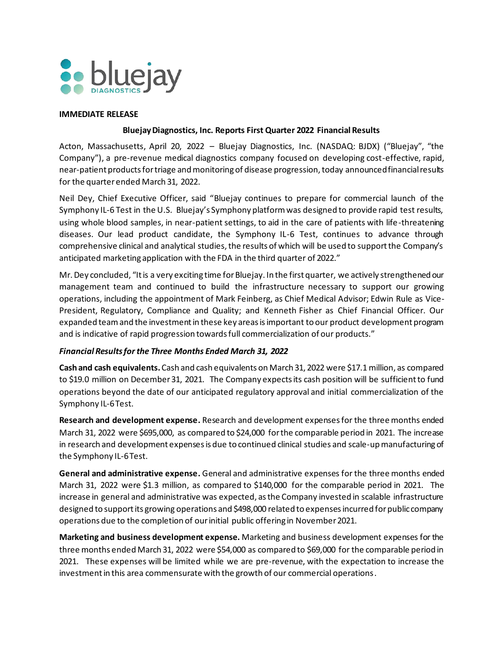

#### **IMMEDIATE RELEASE**

#### **Bluejay Diagnostics, Inc. Reports First Quarter 2022 Financial Results**

Acton, Massachusetts, April 20, 2022 – Bluejay Diagnostics, Inc. (NASDAQ: BJDX) ("Bluejay", "the Company"), a pre-revenue medical diagnostics company focused on developing cost-effective, rapid, near-patient products for triage and monitoring of disease progression, today announced financial results for the quarter ended March 31, 2022.

Neil Dey, Chief Executive Officer, said "Bluejay continues to prepare for commercial launch of the Symphony IL-6 Test in the U.S. Bluejay's Symphony platform was designed to provide rapid test results, using whole blood samples, in near-patient settings, to aid in the care of patients with life-threatening diseases. Our lead product candidate, the Symphony IL-6 Test, continues to advance through comprehensive clinical and analytical studies, the results of which will be used to support the Company's anticipated marketing application with the FDA in the third quarter of 2022."

Mr. Dey concluded, "It is a very exciting time for Bluejay. In the first quarter, we actively strengthened our management team and continued to build the infrastructure necessary to support our growing operations, including the appointment of Mark Feinberg, as Chief Medical Advisor; Edwin Rule as Vice-President, Regulatory, Compliance and Quality; and Kenneth Fisher as Chief Financial Officer. Our expanded team and the investment in these key areas is important to our product development program and is indicative of rapid progression towards full commercialization of our products."

## *Financial Results for the Three Months Ended March 31, 2022*

**Cash and cash equivalents.** Cash and cash equivalents on March 31, 2022 were \$17.1 million, as compared to \$19.0 million on December 31, 2021. The Company expects its cash position will be sufficient to fund operations beyond the date of our anticipated regulatory approval and initial commercialization of the Symphony IL-6 Test.

**Research and development expense.** Research and development expenses for the three months ended March 31, 2022 were \$695,000, as compared to \$24,000 for the comparable period in 2021. The increase in research and development expenses is due to continued clinical studies and scale-up manufacturing of the Symphony IL-6 Test.

**General and administrative expense.** General and administrative expenses for the three months ended March 31, 2022 were \$1.3 million, as compared to \$140,000 for the comparable period in 2021. The increase in general and administrative was expected, as the Company invested in scalable infrastructure designed to support its growing operations and \$498,000 related to expenses incurred for public company operations due to the completion of our initial public offering in November 2021.

**Marketing and business development expense.** Marketing and business development expenses for the three months ended March 31, 2022 were \$54,000 as compared to \$69,000 for the comparable period in 2021. These expenses will be limited while we are pre-revenue, with the expectation to increase the investment in this area commensurate with the growth of our commercial operations.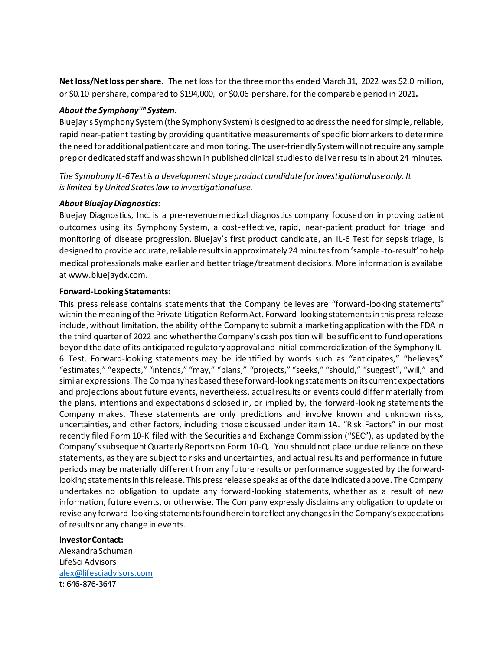**Net loss/Net loss per share.** The net loss for the three months ended March 31, 2022 was \$2.0 million, or \$0.10 per share, compared to \$194,000, or \$0.06 per share, for the comparable period in 2021**.**

## *About the SymphonyTM System:*

Bluejay's Symphony System (the Symphony System) is designed to address the need for simple, reliable, rapid near-patient testing by providing quantitative measurements of specific biomarkers to determine the need for additional patient care and monitoring. The user-friendly System will not require any sample prep or dedicated staff and was shown in published clinical studies to deliver results in about 24 minutes.

*The Symphony IL-6 Test is a development stage product candidate for investigational use only. It is limited by United States law to investigational use.*

## *About Bluejay Diagnostics:*

Bluejay Diagnostics, Inc. is a pre-revenue medical diagnostics company focused on improving patient outcomes using its Symphony System, a cost-effective, rapid, near-patient product for triage and monitoring of disease progression. Bluejay's first product candidate, an IL-6 Test for sepsis triage, is designed to provide accurate, reliable results in approximately 24 minutes from 'sample-to-result' to help medical professionals make earlier and better triage/treatment decisions. More information is available at www.bluejaydx.com.

## **Forward-Looking Statements:**

This press release contains statements that the Company believes are "forward-looking statements" within the meaning of the Private Litigation Reform Act. Forward-looking statements in this press release include, without limitation, the ability of the Company to submit a marketing application with the FDA in the third quarter of 2022 and whether the Company's cash position will be sufficient to fund operations beyond the date of its anticipated regulatory approval and initial commercialization of the Symphony IL-6 Test. Forward-looking statements may be identified by words such as "anticipates," "believes," "estimates," "expects," "intends," "may," "plans," "projects," "seeks," "should," "suggest", "will," and similar expressions. The Company has based these forward-looking statements on its current expectations and projections about future events, nevertheless, actual results or events could differ materially from the plans, intentions and expectations disclosed in, or implied by, the forward-looking statements the Company makes. These statements are only predictions and involve known and unknown risks, uncertainties, and other factors, including those discussed under item 1A. "Risk Factors" in our most recently filed Form 10-K filed with the Securities and Exchange Commission ("SEC"), as updated by the Company's subsequent Quarterly Reports on Form 10-Q. You should not place undue reliance on these statements, as they are subject to risks and uncertainties, and actual results and performance in future periods may be materially different from any future results or performance suggested by the forwardlooking statements in this release. This press release speaks as of the date indicated above. The Company undertakes no obligation to update any forward-looking statements, whether as a result of new information, future events, or otherwise. The Company expressly disclaims any obligation to update or revise any forward-looking statements found herein to reflect any changes in the Company's expectations of results or any change in events.

## **Investor Contact:**

Alexandra Schuman LifeSci Advisors alex@lifesciadvisors.com t: 646-876-3647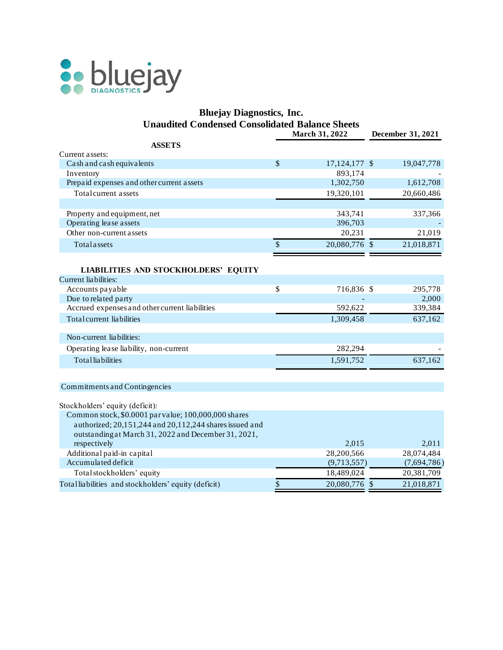

## **Bluejay Diagnostics, Inc. Unaudited Condensed Consolidated Balance Sheets**

|                                                         | March 31, 2022      | December 31, 2021 |
|---------------------------------------------------------|---------------------|-------------------|
| <b>ASSETS</b>                                           |                     |                   |
| Current assets:                                         |                     |                   |
| Cash and cash equivalents                               | \$<br>17,124,177 \$ | 19,047,778        |
| Inventory                                               | 893,174             |                   |
| Prepaid expenses and other current assets               | 1,302,750           | 1,612,708         |
| Total current assets                                    | 19,320,101          | 20,660,486        |
|                                                         |                     |                   |
| Property and equipment, net                             | 343,741             | 337,366           |
| Operating lease assets                                  | 396,703             |                   |
| Other non-current assets                                | 20,231              | 21,019            |
| Totalassets                                             | \$<br>20,080,776 \$ | 21,018,871        |
|                                                         |                     |                   |
| <b>LIABILITIES AND STOCKHOLDERS' EQUITY</b>             |                     |                   |
| Current liabilities:                                    |                     |                   |
| Accounts payable                                        | \$<br>716,836 \$    | 295,778           |
| Due to related party                                    |                     | 2,000             |
| Accrued expenses and other current liabilities          | 592,622             | 339,384           |
| Total current liabilities                               | 1,309,458           | 637,162           |
|                                                         |                     |                   |
| Non-current liabilities:                                |                     |                   |
| Operating lease liability, non-current                  | 282,294             |                   |
| <b>Total</b> liabilities                                | 1,591,752           | 637,162           |
|                                                         |                     |                   |
| Commitments and Contingencies                           |                     |                   |
| Stockholders' equity (deficit):                         |                     |                   |
| Common stock, \$0.0001 par value; 100,000,000 shares    |                     |                   |
| authorized; 20,151,244 and 20,112,244 shares issued and |                     |                   |

| authorized; 20,151,244 and 20,112,244 shares issued and |     |               |             |
|---------------------------------------------------------|-----|---------------|-------------|
| outstanding at March 31, 2022 and December 31, 2021,    |     |               |             |
| respectively                                            |     | 2,015         | 2.011       |
| Additional paid-in capital                              |     | 28,200,566    | 28,074,484  |
| Accumulated deficit                                     |     | (9,713,557)   | (7,694,786) |
| Total stockholders' equity                              |     | 18,489,024    | 20,381,709  |
| Totalliabilities and stockholders' equity (deficit)     | \$. | 20,080,776 \$ | 21,018,871  |